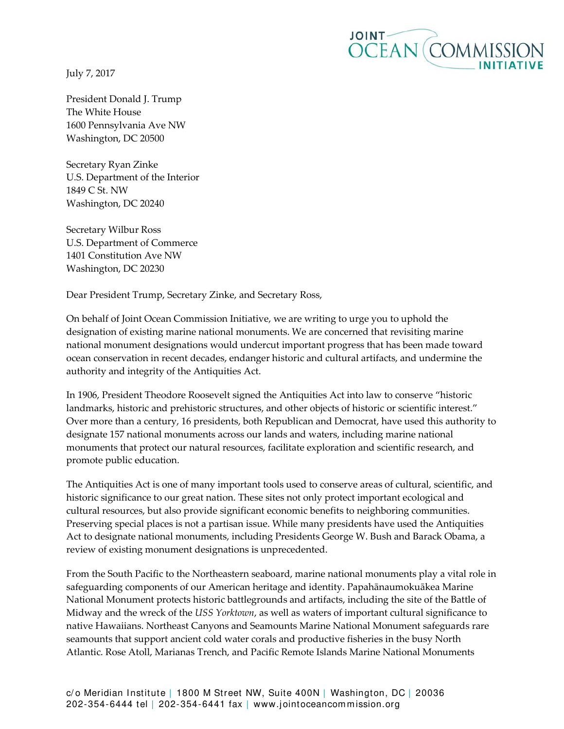July 7, 2017



President Donald J. Trump The White House 1600 Pennsylvania Ave NW Washington, DC 20500

Secretary Ryan Zinke U.S. Department of the Interior 1849 C St. NW Washington, DC 20240

Secretary Wilbur Ross U.S. Department of Commerce 1401 Constitution Ave NW Washington, DC 20230

Dear President Trump, Secretary Zinke, and Secretary Ross,

On behalf of Joint Ocean Commission Initiative, we are writing to urge you to uphold the designation of existing marine national monuments. We are concerned that revisiting marine national monument designations would undercut important progress that has been made toward ocean conservation in recent decades, endanger historic and cultural artifacts, and undermine the authority and integrity of the Antiquities Act.

In 1906, President Theodore Roosevelt signed the Antiquities Act into law to conserve "historic landmarks, historic and prehistoric structures, and other objects of historic or scientific interest." Over more than a century, 16 presidents, both Republican and Democrat, have used this authority to designate 157 national monuments across our lands and waters, including marine national monuments that protect our natural resources, facilitate exploration and scientific research, and promote public education.

The Antiquities Act is one of many important tools used to conserve areas of cultural, scientific, and historic significance to our great nation. These sites not only protect important ecological and cultural resources, but also provide significant economic benefits to neighboring communities. Preserving special places is not a partisan issue. While many presidents have used the Antiquities Act to designate national monuments, including Presidents George W. Bush and Barack Obama, a review of existing monument designations is unprecedented.

From the South Pacific to the Northeastern seaboard, marine national monuments play a vital role in safeguarding components of our American heritage and identity. Papahānaumokuākea Marine National Monument protects historic battlegrounds and artifacts, including the site of the Battle of Midway and the wreck of the *USS Yorktown*, as well as waters of important cultural significance to native Hawaiians. Northeast Canyons and Seamounts Marine National Monument safeguards rare seamounts that support ancient cold water corals and productive fisheries in the busy North Atlantic. Rose Atoll, Marianas Trench, and Pacific Remote Islands Marine National Monuments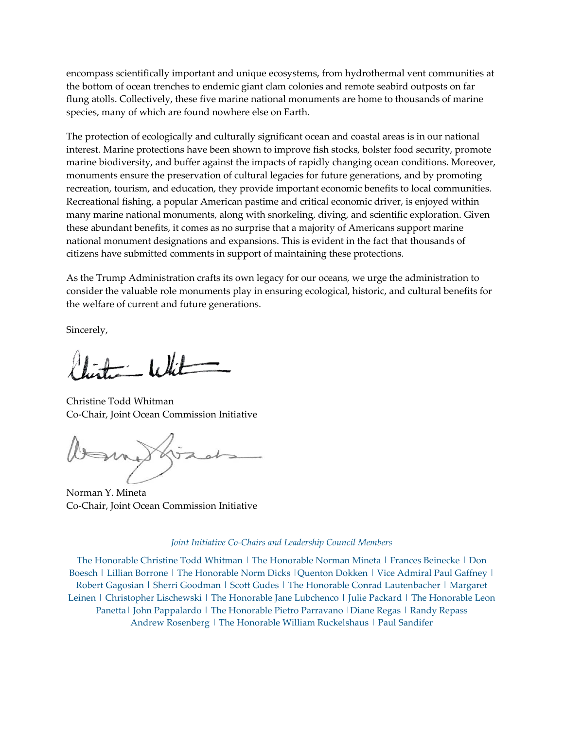encompass scientifically important and unique ecosystems, from hydrothermal vent communities at the bottom of ocean trenches to endemic giant clam colonies and remote seabird outposts on far flung atolls. Collectively, these five marine national monuments are home to thousands of marine species, many of which are found nowhere else on Earth.

The protection of ecologically and culturally significant ocean and coastal areas is in our national interest. Marine protections have been shown to improve fish stocks, bolster food security, promote marine biodiversity, and buffer against the impacts of rapidly changing ocean conditions. Moreover, monuments ensure the preservation of cultural legacies for future generations, and by promoting recreation, tourism, and education, they provide important economic benefits to local communities. Recreational fishing, a popular American pastime and critical economic driver, is enjoyed within many marine national monuments, along with snorkeling, diving, and scientific exploration. Given these abundant benefits, it comes as no surprise that a majority of Americans support marine national monument designations and expansions. This is evident in the fact that thousands of citizens have submitted comments in support of maintaining these protections.

As the Trump Administration crafts its own legacy for our oceans, we urge the administration to consider the valuable role monuments play in ensuring ecological, historic, and cultural benefits for the welfare of current and future generations.

Sincerely,

 $=$  White

Christine Todd Whitman Co-Chair, Joint Ocean Commission Initiative

Norman Y. Mineta Co-Chair, Joint Ocean Commission Initiative

## *Joint Initiative Co-Chairs and Leadership Council Members*

The Honorable Christine Todd Whitman | The Honorable Norman Mineta | Frances Beinecke | Don Boesch | Lillian Borrone | The Honorable Norm Dicks |Quenton Dokken | Vice Admiral Paul Gaffney | Robert Gagosian | Sherri Goodman | Scott Gudes | The Honorable Conrad Lautenbacher | Margaret Leinen | Christopher Lischewski | The Honorable Jane Lubchenco | Julie Packard | The Honorable Leon Panetta | John Pappalardo | The Honorable Pietro Parravano | Diane Regas | Randy Repass Andrew Rosenberg | The Honorable William Ruckelshaus | Paul Sandifer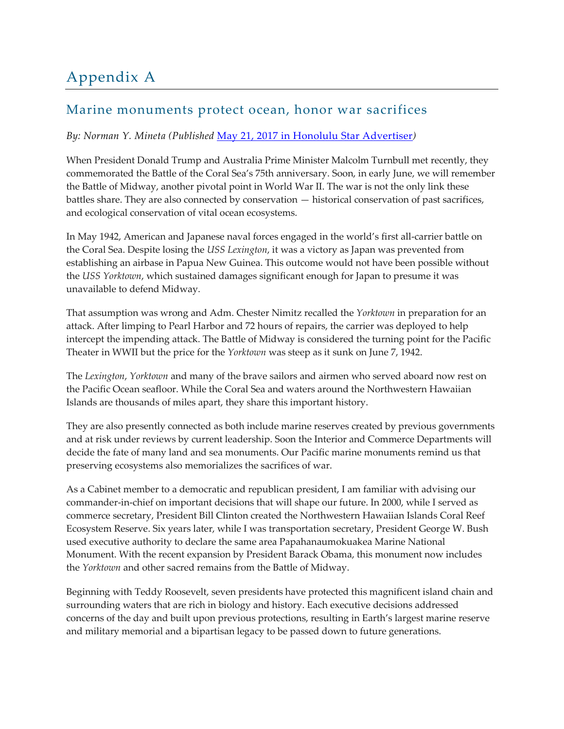## Appendix A

## Marine monuments protect ocean, honor war sacrifices

## *By: Norman Y. Mineta (Published* [May 21, 2017 in Honolulu Star Advertiser](http://www.staradvertiser.com/2017/05/21/editorial/island-voices/remembering-midway-marine-monuments-protect-ocean-and-honor-sacrifices-of-war/)*)*

When President Donald Trump and Australia Prime Minister Malcolm Turnbull met recently, they commemorated the Battle of the Coral Sea's 75th anniversary. Soon, in early June, we will remember the Battle of Midway, another pivotal point in World War II. The war is not the only link these battles share. They are also connected by conservation — historical conservation of past sacrifices, and ecological conservation of vital ocean ecosystems.

In May 1942, American and Japanese naval forces engaged in the world's first all-carrier battle on the Coral Sea. Despite losing the *USS Lexington*, it was a victory as Japan was prevented from establishing an airbase in Papua New Guinea. This outcome would not have been possible without the *USS Yorktown*, which sustained damages significant enough for Japan to presume it was unavailable to defend Midway.

That assumption was wrong and Adm. Chester Nimitz recalled the *Yorktown* in preparation for an attack. After limping to Pearl Harbor and 72 hours of repairs, the carrier was deployed to help intercept the impending attack. The Battle of Midway is considered the turning point for the Pacific Theater in WWII but the price for the *Yorktown* was steep as it sunk on June 7, 1942.

The *Lexington*, *Yorktown* and many of the brave sailors and airmen who served aboard now rest on the Pacific Ocean seafloor. While the Coral Sea and waters around the Northwestern Hawaiian Islands are thousands of miles apart, they share this important history.

They are also presently connected as both include marine reserves created by previous governments and at risk under reviews by current leadership. Soon the Interior and Commerce Departments will decide the fate of many land and sea monuments. Our Pacific marine monuments remind us that preserving ecosystems also memorializes the sacrifices of war.

As a Cabinet member to a democratic and republican president, I am familiar with advising our commander-in-chief on important decisions that will shape our future. In 2000, while I served as commerce secretary, President Bill Clinton created the Northwestern Hawaiian Islands Coral Reef Ecosystem Reserve. Six years later, while I was transportation secretary, President George W. Bush used executive authority to declare the same area Papahanaumokuakea Marine National Monument. With the recent expansion by President Barack Obama, this monument now includes the *Yorktown* and other sacred remains from the Battle of Midway.

Beginning with Teddy Roosevelt, seven presidents have protected this magnificent island chain and surrounding waters that are rich in biology and history. Each executive decisions addressed concerns of the day and built upon previous protections, resulting in Earth's largest marine reserve and military memorial and a bipartisan legacy to be passed down to future generations.